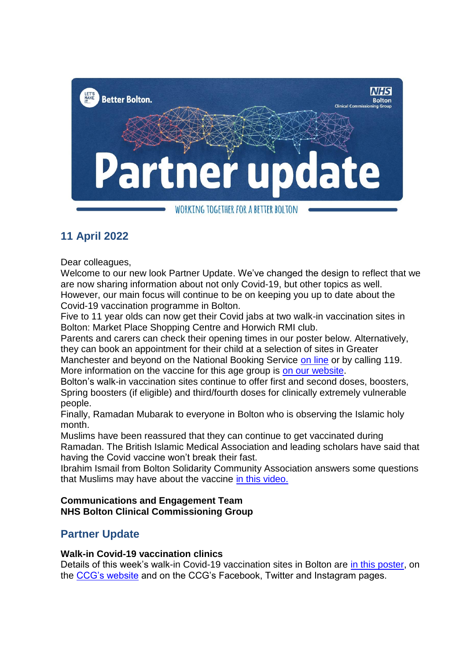

# **11 April 2022**

Dear colleagues,

Welcome to our new look Partner Update. We've changed the design to reflect that we are now sharing information about not only Covid-19, but other topics as well. However, our main focus will continue to be on keeping you up to date about the

Covid-19 vaccination programme in Bolton.

Five to 11 year olds can now get their Covid jabs at two walk-in vaccination sites in Bolton: Market Place Shopping Centre and Horwich RMI club.

Parents and carers can check their opening times in our poster below. Alternatively, they can book an appointment for their child at a selection of sites in Greater Manchester and beyond on the National Booking Service [on line](https://www.nhs.uk/conditions/coronavirus-covid-19/coronavirus-vaccination/book-coronavirus-vaccination/) or by calling 119.

More information on the vaccine for this age group is [on our website.](https://www.boltonccg.nhs.uk/news-events/news/walk-in-covid-jabs-for-5-11s)

Bolton's walk-in vaccination sites continue to offer first and second doses, boosters, Spring boosters (if eligible) and third/fourth doses for clinically extremely vulnerable people.

Finally, Ramadan Mubarak to everyone in Bolton who is observing the Islamic holy month.

Muslims have been reassured that they can continue to get vaccinated during Ramadan. The British Islamic Medical Association and leading scholars have said that having the Covid vaccine won't break their fast.

Ibrahim Ismail from Bolton Solidarity Community Association answers some questions that Muslims may have about the vaccine [in this video.](https://bit.ly/Ramadanvideo)

## **Communications and Engagement Team NHS Bolton Clinical Commissioning Group**

## **Partner Update**

## **Walk-in Covid-19 vaccination clinics**

Details of this week's walk-in Covid-19 vaccination sites in Bolton are [in this poster,](https://www.boltonccg.nhs.uk/media/8035/vaccs_sites-8-18april-copy.pdf) on the [CCG's website](https://www.boltonccg.nhs.uk/patient-zone/coronavirus) and on the CCG's Facebook, Twitter and Instagram pages.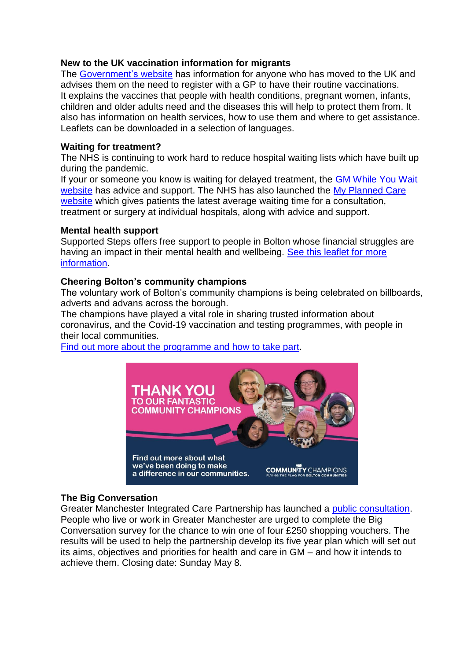#### **New to the UK vaccination information for migrants**

The [Government's](https://www.gov.uk/government/publications/immunisation-information-for-migrants) website has information for anyone who has moved to the UK and advises them on the need to register with a GP to have their routine vaccinations. It explains the vaccines that people with health conditions, pregnant women, infants, children and older adults need and the diseases this will help to protect them from. It also has information on health services, how to use them and where to get assistance. Leaflets can be downloaded in a selection of languages.

## **Waiting for treatment?**

The NHS is continuing to work hard to reduce hospital waiting lists which have built up during the pandemic.

If your or someone you know is waiting for delayed treatment, the GM While You Wait [website](https://whileyouwait.org.uk/) has advice and support. The NHS has also launched the My Planned Care [website](https://www.myplannedcare.nhs.uk/nwest/bolton/) which gives patients the latest average waiting time for a consultation, treatment or surgery at individual hospitals, along with advice and support.

## **Mental health support**

Supported Steps offers free support to people in Bolton whose financial struggles are having an impact in their mental health and wellbeing. See this leaflet for more [information.](https://www.boltonccg.nhs.uk/media/7988/posterfinal.pdf)

## **Cheering Bolton's community champions**

The voluntary work of Bolton's community champions is being celebrated on billboards, adverts and advans across the borough.

The champions have played a vital role in sharing trusted information about coronavirus, and the Covid-19 vaccination and testing programmes, with people in their local communities.

[Find out more about the programme and how to take part.](https://www.boltonccg.nhs.uk/news-events/news/cheering-boltons-community-champions)



## **The Big Conversation**

Greater Manchester Integrated Care Partnership has launched a [public consultation.](https://www.gmhsc.org.uk/event/the-big-conversation/) People who live or work in Greater Manchester are urged to complete the Big Conversation survey for the chance to win one of four £250 shopping vouchers. The results will be used to help the partnership develop its five year plan which will set out its aims, objectives and priorities for health and care in GM – and how it intends to achieve them. Closing date: Sunday May 8.